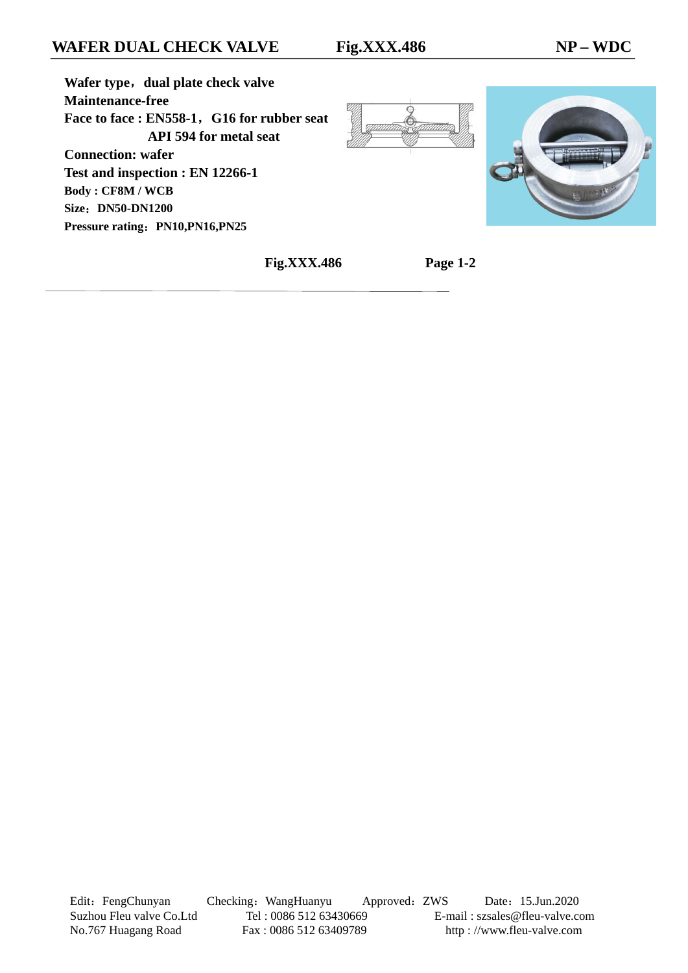**Wafer type**,**dual plate check valve Maintenance-free Face to face : EN558-1**,**G16 for rubber seat API 594 for metal seat Connection: wafer Test and inspection : EN 12266-1 Body : CF8M / WCB Size**:**DN50-DN1200 Pressure rating: PN10,PN16,PN25** 





 **Fig.XXX.486 Page 1-2**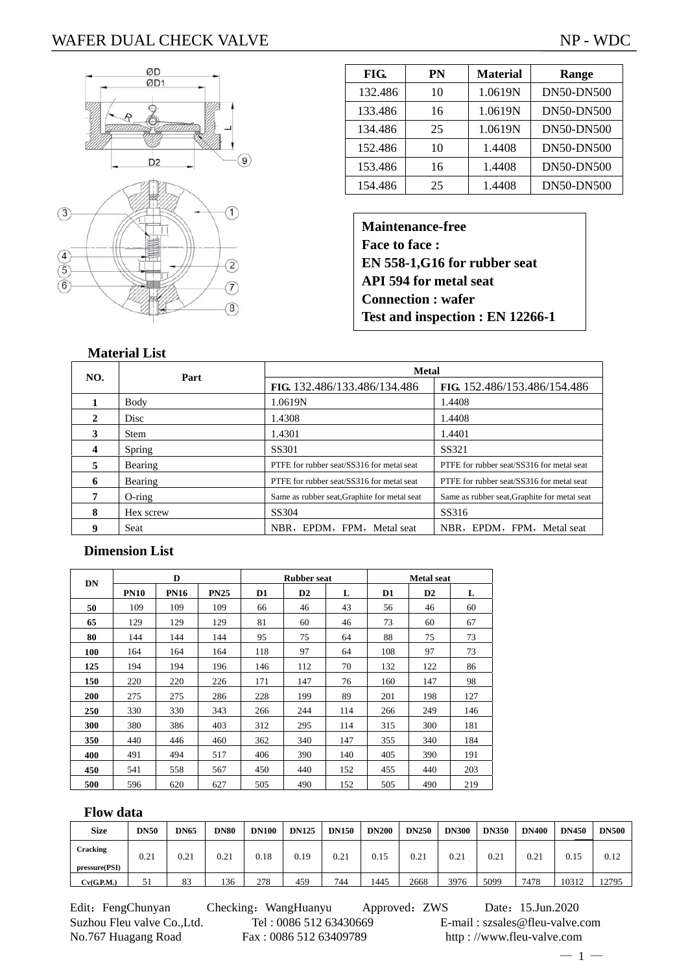# WAFER DUAL CHECK VALVE NP - WDC



| FIG.    | PN | <b>Material</b> | Range             |
|---------|----|-----------------|-------------------|
| 132.486 | 10 | 1.0619N         | <b>DN50-DN500</b> |
| 133.486 | 16 | 1.0619N         | <b>DN50-DN500</b> |
| 134.486 | 25 | 1.0619N         | <b>DN50-DN500</b> |
| 152.486 | 10 | 1.4408          | <b>DN50-DN500</b> |
| 153.486 | 16 | 1.4408          | <b>DN50-DN500</b> |
| 154.486 | 25 | 1.4408          | <b>DN50-DN500</b> |

**Maintenance-free Face to face : EN 558-1,G16 for rubber seat API 594 for metal seat Connection : wafer Test and inspection : EN 12266-1** 

### **Material List**

| NO. | Part        | <b>Metal</b>                                 |                                              |  |  |  |  |
|-----|-------------|----------------------------------------------|----------------------------------------------|--|--|--|--|
|     |             | FIG. 132.486/133.486/134.486                 | FIG. 152.486/153.486/154.486                 |  |  |  |  |
|     | Body        | 1.0619N                                      | 1.4408                                       |  |  |  |  |
| 2   | Disc        | 1.4308                                       | 1.4408                                       |  |  |  |  |
| 3   | <b>Stem</b> | 1.4301                                       | 1.4401                                       |  |  |  |  |
| 4   | Spring      | SS301                                        | SS321                                        |  |  |  |  |
| 5   | Bearing     | PTFE for rubber seat/SS316 for metal seat    | PTFE for rubber seat/SS316 for metal seat    |  |  |  |  |
| 6   | Bearing     | PTFE for rubber seat/SS316 for metal seat    | PTFE for rubber seat/SS316 for metal seat    |  |  |  |  |
| 7   | $O$ -ring   | Same as rubber seat, Graphite for metal seat | Same as rubber seat, Graphite for metal seat |  |  |  |  |
| 8   | Hex screw   | SS304                                        | SS316                                        |  |  |  |  |
| 9   | Seat        | NBR, EPDM, FPM, Metal seat                   | NBR, EPDM, FPM, Metal seat                   |  |  |  |  |

### **Dimension List**

| DN  |             | D           |             |                | <b>Rubber seat</b> |     |     | <b>Metal</b> seat |     |  |  |
|-----|-------------|-------------|-------------|----------------|--------------------|-----|-----|-------------------|-----|--|--|
|     | <b>PN10</b> | <b>PN16</b> | <b>PN25</b> | D <sub>1</sub> | D2                 | L   | D1  | D2                | L   |  |  |
| 50  | 109         | 109         | 109         | 66             | 46                 | 43  | 56  | 46                | 60  |  |  |
| 65  | 129         | 129         | 129         | 81             | 60                 | 46  | 73  | 60                | 67  |  |  |
| 80  | 144         | 144         | 144         | 95             | 75                 | 64  | 88  | 75                | 73  |  |  |
| 100 | 164         | 164         | 164         | 118            | 97                 | 64  | 108 | 97                | 73  |  |  |
| 125 | 194         | 194         | 196         | 146            | 112                | 70  | 132 | 122               | 86  |  |  |
| 150 | 220         | 220         | 226         | 171            | 147                | 76  | 160 | 147               | 98  |  |  |
| 200 | 275         | 275         | 286         | 228            | 199                | 89  | 201 | 198               | 127 |  |  |
| 250 | 330         | 330         | 343         | 266            | 244                | 114 | 266 | 249               | 146 |  |  |
| 300 | 380         | 386         | 403         | 312            | 295                | 114 | 315 | 300               | 181 |  |  |
| 350 | 440         | 446         | 460         | 362            | 340                | 147 | 355 | 340               | 184 |  |  |
| 400 | 491         | 494         | 517         | 406            | 390                | 140 | 405 | 390               | 191 |  |  |
| 450 | 541         | 558         | 567         | 450            | 440                | 152 | 455 | 440               | 203 |  |  |
| 500 | 596         | 620         | 627         | 505            | 490                | 152 | 505 | 490               | 219 |  |  |

## **Flow data**

| <b>Size</b>               | <b>DN50</b> | <b>DN65</b> | <b>DN80</b> | <b>DN100</b> | <b>DN125</b> | <b>DN150</b> | <b>DN200</b> | <b>DN250</b> | <b>DN300</b> | <b>DN350</b> | <b>DN400</b> | <b>DN450</b> | <b>DN500</b> |
|---------------------------|-------------|-------------|-------------|--------------|--------------|--------------|--------------|--------------|--------------|--------------|--------------|--------------|--------------|
| Cracking<br>pressure(PSI) | 0.21        | 0.21        | 0.21        | 0.18         | 0.19         | 0.21         | 0.15         | 0.21         | 0.21         | 0.21         | 0.21         | 0.15         | 0.12         |
| Cv(G.P.M.)                | 51          | 83          | 136         | 278          | 459          | 744          | 1445         | 2668         | 3976         | 5099         | 7478         | 10312        | 12795        |

Edit: FengChunyan Checking: WangHuanyu Approved: ZWS Date: 15.Jun.2020 Suzhou Fleu valve Co.,Ltd. Tel : 0086 512 63430669 E-mail : szsales@fleu-valve.com No.767 Huagang Road Fax : 0086 512 63409789 http : //www.fleu-valve.com

 $-1-$